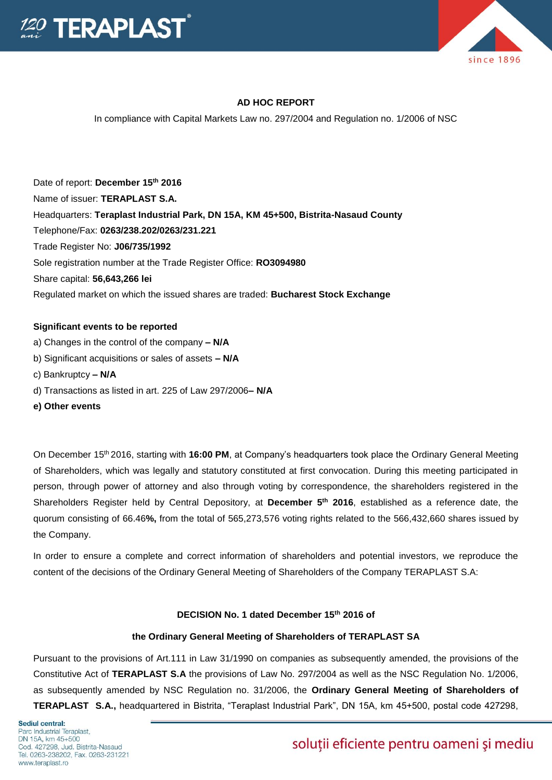



# **AD HOC REPORT**

In compliance with Capital Markets Law no. 297/2004 and Regulation no. 1/2006 of NSC

Date of report: **December 15th 2016**  Name of issuer: **TERAPLAST S.A.**  Headquarters: **Teraplast Industrial Park, DN 15A, KM 45+500, Bistrita-Nasaud County**  Telephone/Fax: **0263/238.202/0263/231.221**  Trade Register No: **J06/735/1992**  Sole registration number at the Trade Register Office: **RO3094980**  Share capital: **56,643,266 lei**  Regulated market on which the issued shares are traded: **Bucharest Stock Exchange** 

## **Significant events to be reported**

- a) Changes in the control of the company **– N/A**
- b) Significant acquisitions or sales of assets **– N/A**
- c) Bankruptcy **– N/A**
- d) Transactions as listed in art. 225 of Law 297/2006**– N/A**
- **e) Other events**

On December 15th 2016, starting with **16:00 PM**, at Company's headquarters took place the Ordinary General Meeting of Shareholders, which was legally and statutory constituted at first convocation. During this meeting participated in person, through power of attorney and also through voting by correspondence, the shareholders registered in the Shareholders Register held by Central Depository, at **December 5th 2016**, established as a reference date, the quorum consisting of 66.46**%,** from the total of 565,273,576 voting rights related to the 566,432,660 shares issued by the Company.

In order to ensure a complete and correct information of shareholders and potential investors, we reproduce the content of the decisions of the Ordinary General Meeting of Shareholders of the Company TERAPLAST S.A:

# **DECISION No. 1 dated December 15th 2016 of**

# **the Ordinary General Meeting of Shareholders of TERAPLAST SA**

Pursuant to the provisions of Art.111 in Law 31/1990 on companies as subsequently amended, the provisions of the Constitutive Act of **TERAPLAST S.A** the provisions of Law No. 297/2004 as well as the NSC Regulation No. 1/2006, as subsequently amended by NSC Regulation no. 31/2006, the **Ordinary General Meeting of Shareholders of TERAPLAST S.A.,** headquartered in Bistrita, "Teraplast Industrial Park", DN 15A, km 45+500, postal code 427298,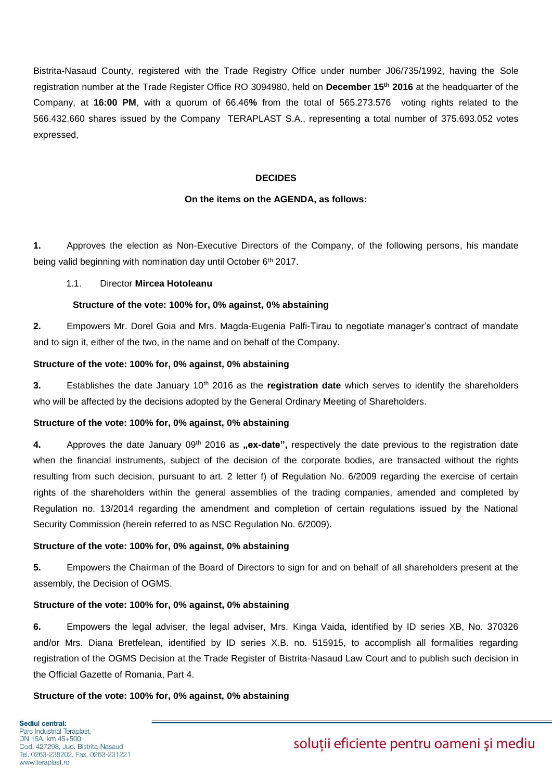Bistrita-Nasaud County, registered with the Trade Registry Office under number J06/735/1992, having the Sole registration number at the Trade Register Office RO 3094980, held on **December 15th 2016** at the headquarter of the Company, at **16:00 PM**, with a quorum of 66.46**%** from the total of 565.273.576 voting rights related to the 566.432.660 shares issued by the Company TERAPLAST S.A., representing a total number of 375.693.052 votes expressed,

## **DECIDES**

#### **On the items on the AGENDA, as follows:**

**1.** Approves the election as Non-Executive Directors of the Company, of the following persons, his mandate being valid beginning with nomination day until October 6<sup>th</sup> 2017.

### 1.1. Director **Mircea Hotoleanu**

#### **Structure of the vote: 100% for, 0% against, 0% abstaining**

**2.** Empowers Mr. Dorel Goia and Mrs. Magda-Eugenia Palfi-Tirau to negotiate manager's contract of mandate and to sign it, either of the two, in the name and on behalf of the Company.

### **Structure of the vote: 100% for, 0% against, 0% abstaining**

**3.** Establishes the date January 10<sup>th</sup> 2016 as the **registration date** which serves to identify the shareholders who will be affected by the decisions adopted by the General Ordinary Meeting of Shareholders.

#### **Structure of the vote: 100% for, 0% against, 0% abstaining**

4. Approves the date January 09<sup>th</sup> 2016 as **"ex-date**", respectively the date previous to the registration date when the financial instruments, subject of the decision of the corporate bodies, are transacted without the rights resulting from such decision, pursuant to art. 2 letter f) of Regulation No. 6/2009 regarding the exercise of certain rights of the shareholders within the general assemblies of the trading companies, amended and completed by Regulation no. 13/2014 regarding the amendment and completion of certain regulations issued by the National Security Commission (herein referred to as NSC Regulation No. 6/2009).

#### **Structure of the vote: 100% for, 0% against, 0% abstaining**

**5.** Empowers the Chairman of the Board of Directors to sign for and on behalf of all shareholders present at the assembly, the Decision of OGMS.

## **Structure of the vote: 100% for, 0% against, 0% abstaining**

**6.** Empowers the legal adviser, the legal adviser, Mrs. Kinga Vaida, identified by ID series XB, No. 370326 and/or Mrs. Diana Bretfelean, identified by ID series X.B. no. 515915, to accomplish all formalities regarding registration of the OGMS Decision at the Trade Register of Bistrita-Nasaud Law Court and to publish such decision in the Official Gazette of Romania, Part 4.

## **Structure of the vote: 100% for, 0% against, 0% abstaining**